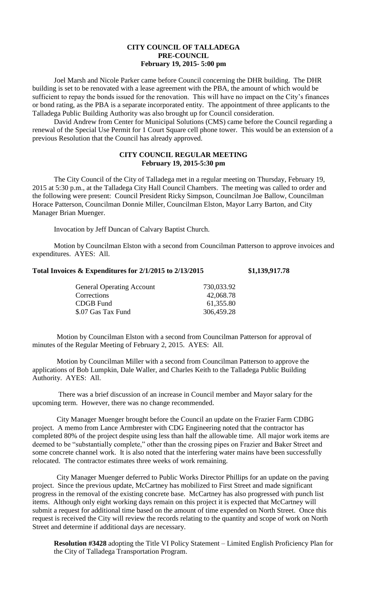## **CITY COUNCIL OF TALLADEGA PRE-COUNCIL February 19, 2015- 5:00 pm**

Joel Marsh and Nicole Parker came before Council concerning the DHR building. The DHR building is set to be renovated with a lease agreement with the PBA, the amount of which would be sufficient to repay the bonds issued for the renovation. This will have no impact on the City's finances or bond rating, as the PBA is a separate incorporated entity. The appointment of three applicants to the Talladega Public Building Authority was also brought up for Council consideration.

David Andrew from Center for Municipal Solutions (CMS) came before the Council regarding a renewal of the Special Use Permit for 1 Court Square cell phone tower. This would be an extension of a previous Resolution that the Council has already approved.

## **CITY COUNCIL REGULAR MEETING February 19, 2015-5:30 pm**

The City Council of the City of Talladega met in a regular meeting on Thursday, February 19, 2015 at 5:30 p.m., at the Talladega City Hall Council Chambers. The meeting was called to order and the following were present: Council President Ricky Simpson, Councilman Joe Ballow, Councilman Horace Patterson, Councilman Donnie Miller, Councilman Elston, Mayor Larry Barton, and City Manager Brian Muenger.

Invocation by Jeff Duncan of Calvary Baptist Church.

Motion by Councilman Elston with a second from Councilman Patterson to approve invoices and expenditures. AYES: All.

## **Total Invoices & Expenditures for 2/1/2015 to 2/13/2015 \$1,139,917.78**

| <b>General Operating Account</b> | 730,033.92 |
|----------------------------------|------------|
| Corrections                      | 42,068.78  |
| CDGB Fund                        | 61,355.80  |
| \$.07 Gas Tax Fund               | 306,459.28 |

Motion by Councilman Elston with a second from Councilman Patterson for approval of minutes of the Regular Meeting of February 2, 2015. AYES: All.

Motion by Councilman Miller with a second from Councilman Patterson to approve the applications of Bob Lumpkin, Dale Waller, and Charles Keith to the Talladega Public Building Authority. AYES: All.

There was a brief discussion of an increase in Council member and Mayor salary for the upcoming term. However, there was no change recommended.

City Manager Muenger brought before the Council an update on the Frazier Farm CDBG project. A memo from Lance Armbrester with CDG Engineering noted that the contractor has completed 80% of the project despite using less than half the allowable time. All major work items are deemed to be "substantially complete," other than the crossing pipes on Frazier and Baker Street and some concrete channel work. It is also noted that the interfering water mains have been successfully relocated. The contractor estimates three weeks of work remaining.

City Manager Muenger deferred to Public Works Director Phillips for an update on the paving project. Since the previous update, McCartney has mobilized to First Street and made significant progress in the removal of the existing concrete base. McCartney has also progressed with punch list items. Although only eight working days remain on this project it is expected that McCartney will submit a request for additional time based on the amount of time expended on North Street. Once this request is received the City will review the records relating to the quantity and scope of work on North Street and determine if additional days are necessary.

**Resolution #3428** adopting the Title VI Policy Statement – Limited English Proficiency Plan for the City of Talladega Transportation Program.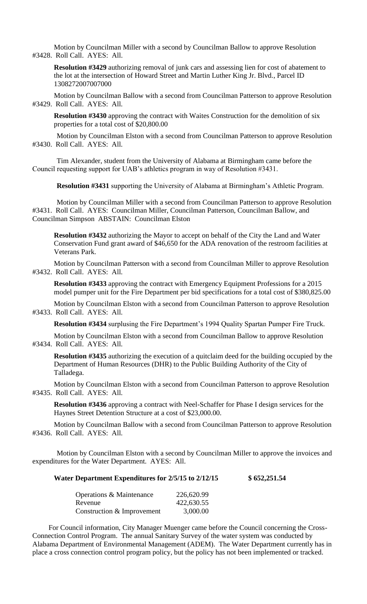Motion by Councilman Miller with a second by Councilman Ballow to approve Resolution #3428. Roll Call. AYES: All.

**Resolution #3429** authorizing removal of junk cars and assessing lien for cost of abatement to the lot at the intersection of Howard Street and Martin Luther King Jr. Blvd., Parcel ID 1308272007007000

Motion by Councilman Ballow with a second from Councilman Patterson to approve Resolution #3429. Roll Call. AYES: All.

**Resolution #3430** approving the contract with Waites Construction for the demolition of six properties for a total cost of \$20,800.00

Motion by Councilman Elston with a second from Councilman Patterson to approve Resolution #3430. Roll Call. AYES: All.

Tim Alexander, student from the University of Alabama at Birmingham came before the Council requesting support for UAB's athletics program in way of Resolution #3431.

**Resolution #3431** supporting the University of Alabama at Birmingham's Athletic Program.

Motion by Councilman Miller with a second from Councilman Patterson to approve Resolution #3431. Roll Call. AYES: Councilman Miller, Councilman Patterson, Councilman Ballow, and Councilman Simpson ABSTAIN: Councilman Elston

**Resolution #3432** authorizing the Mayor to accept on behalf of the City the Land and Water Conservation Fund grant award of \$46,650 for the ADA renovation of the restroom facilities at Veterans Park.

Motion by Councilman Patterson with a second from Councilman Miller to approve Resolution #3432. Roll Call. AYES: All.

**Resolution #3433** approving the contract with Emergency Equipment Professions for a 2015 model pumper unit for the Fire Department per bid specifications for a total cost of \$380,825.00

Motion by Councilman Elston with a second from Councilman Patterson to approve Resolution #3433. Roll Call. AYES: All.

**Resolution #3434** surplusing the Fire Department's 1994 Quality Spartan Pumper Fire Truck.

Motion by Councilman Elston with a second from Councilman Ballow to approve Resolution #3434. Roll Call. AYES: All.

**Resolution #3435** authorizing the execution of a quitclaim deed for the building occupied by the Department of Human Resources (DHR) to the Public Building Authority of the City of Talladega.

Motion by Councilman Elston with a second from Councilman Patterson to approve Resolution #3435. Roll Call. AYES: All.

**Resolution #3436** approving a contract with Neel-Schaffer for Phase I design services for the Haynes Street Detention Structure at a cost of \$23,000.00.

Motion by Councilman Ballow with a second from Councilman Patterson to approve Resolution #3436. Roll Call. AYES: All.

Motion by Councilman Elston with a second by Councilman Miller to approve the invoices and expenditures for the Water Department. AYES: All.

**Water Department Expenditures for 2/5/15 to 2/12/15 \$ 652,251.54**

| <b>Operations &amp; Maintenance</b> | 226,620.99 |
|-------------------------------------|------------|
| Revenue                             | 422,630.55 |
| Construction & Improvement          | 3,000.00   |

For Council information, City Manager Muenger came before the Council concerning the Cross-Connection Control Program. The annual Sanitary Survey of the water system was conducted by Alabama Department of Environmental Management (ADEM). The Water Department currently has in place a cross connection control program policy, but the policy has not been implemented or tracked.